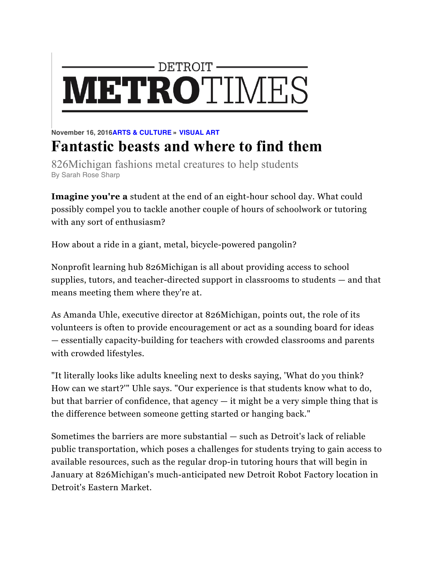## - DETROIT -**METROTIMES**

## **November 16, 2016ARTS & CULTURE » VISUAL ART Fantastic beasts and where to find them**

826Michigan fashions metal creatures to help students By Sarah Rose Sharp

**Imagine you're a** student at the end of an eight-hour school day. What could possibly compel you to tackle another couple of hours of schoolwork or tutoring with any sort of enthusiasm?

How about a ride in a giant, metal, bicycle-powered pangolin?

Nonprofit learning hub 826Michigan is all about providing access to school supplies, tutors, and teacher-directed support in classrooms to students — and that means meeting them where they're at.

As Amanda Uhle, executive director at 826Michigan, points out, the role of its volunteers is often to provide encouragement or act as a sounding board for ideas — essentially capacity-building for teachers with crowded classrooms and parents with crowded lifestyles.

"It literally looks like adults kneeling next to desks saying, 'What do you think? How can we start?'" Uhle says. "Our experience is that students know what to do, but that barrier of confidence, that agency  $-$  it might be a very simple thing that is the difference between someone getting started or hanging back."

Sometimes the barriers are more substantial — such as Detroit's lack of reliable public transportation, which poses a challenges for students trying to gain access to available resources, such as the regular drop-in tutoring hours that will begin in January at 826Michigan's much-anticipated new Detroit Robot Factory location in Detroit's Eastern Market.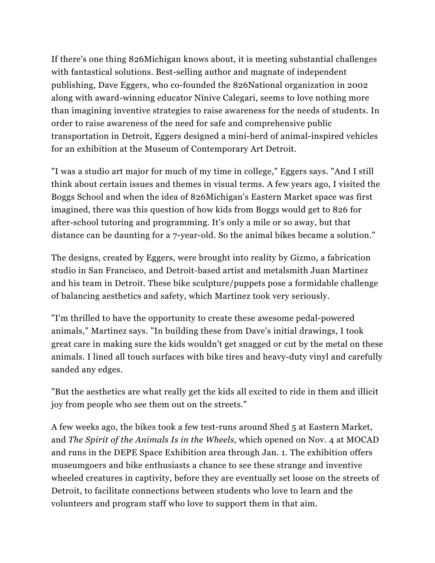If there's one thing 826Michigan knows about, it is meeting substantial challenges with fantastical solutions. Best-selling author and magnate of independent publishing, Dave Eggers, who co-founded the 826National organization in 2002 along with award-winning educator Nínive Calegari, seems to love nothing more than imagining inventive strategies to raise awareness for the needs of students. In order to raise awareness of the need for safe and comprehensive public transportation in Detroit, Eggers designed a mini-herd of animal-inspired vehicles for an exhibition at the Museum of Contemporary Art Detroit.

"I was a studio art major for much of my time in college," Eggers says. "And I still think about certain issues and themes in visual terms. A few years ago, I visited the Boggs School and when the idea of 826Michigan's Eastern Market space was first imagined, there was this question of how kids from Boggs would get to 826 for after-school tutoring and programming. It's only a mile or so away, but that distance can be daunting for a 7-year-old. So the animal bikes became a solution."

The designs, created by Eggers, were brought into reality by Gizmo, a fabrication studio in San Francisco, and Detroit-based artist and metalsmith Juan Martinez and his team in Detroit. These bike sculpture/puppets pose a formidable challenge of balancing aesthetics and safety, which Martinez took very seriously.

"I'm thrilled to have the opportunity to create these awesome pedal-powered animals," Martinez says. "In building these from Dave's initial drawings, I took great care in making sure the kids wouldn't get snagged or cut by the metal on these animals. I lined all touch surfaces with bike tires and heavy-duty vinyl and carefully sanded any edges.

"But the aesthetics are what really get the kids all excited to ride in them and illicit joy from people who see them out on the streets."

A few weeks ago, the bikes took a few test-runs around Shed 5 at Eastern Market, and *The Spirit of the Animals Is in the Wheels*, which opened on Nov. 4 at MOCAD and runs in the DEPE Space Exhibition area through Jan. 1. The exhibition offers museumgoers and bike enthusiasts a chance to see these strange and inventive wheeled creatures in captivity, before they are eventually set loose on the streets of Detroit, to facilitate connections between students who love to learn and the volunteers and program staff who love to support them in that aim.